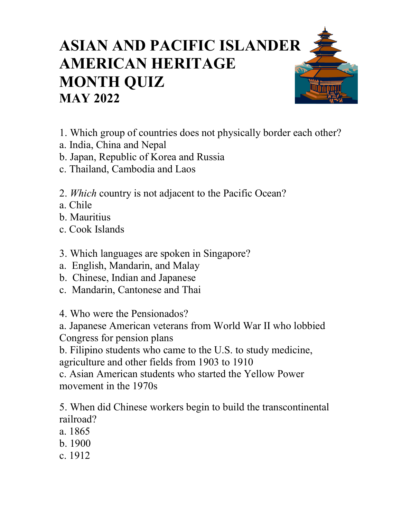## **ASIAN AND PACIFIC ISLANDER AMERICAN HERITAGE MONTH QUIZ MAY 2022**

- 1. Which group of countries does not physically border each other?
- a. India, China and Nepal
- b. Japan, Republic of Korea and Russia
- c. Thailand, Cambodia and Laos
- 2. *Which* country is not adjacent to the Pacific Ocean?
- a. Chile
- b. Mauritius
- c. Cook Islands
- 3. Which languages are spoken in Singapore?
- a. English, Mandarin, and Malay
- b. Chinese, Indian and Japanese
- c. Mandarin, Cantonese and Thai

4. Who were the Pensionados?

a. Japanese American veterans from World War II who lobbied Congress for pension plans

b. Filipino students who came to the U.S. to study medicine, agriculture and other fields from 1903 to 1910

c. Asian American students who started the Yellow Power movement in the 1970s

5. When did Chinese workers begin to build the transcontinental railroad?

- a. 1865
- b. 1900
- c. 1912